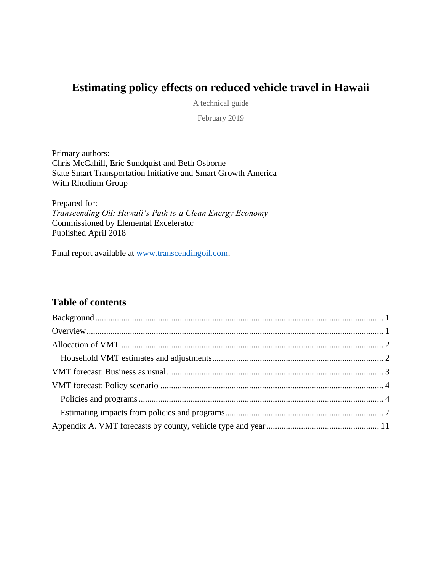# **Estimating policy effects on reduced vehicle travel in Hawaii**

A technical guide

February 2019

Primary authors: Chris McCahill, Eric Sundquist and Beth Osborne State Smart Transportation Initiative and Smart Growth America With Rhodium Group

Prepared for: *Transcending Oil: Hawaii's Path to a Clean Energy Economy* Commissioned by Elemental Excelerator Published April 2018

Final report available at [www.transcendingoil.com.](http://www.transcendingoil.com/)

# **Table of contents**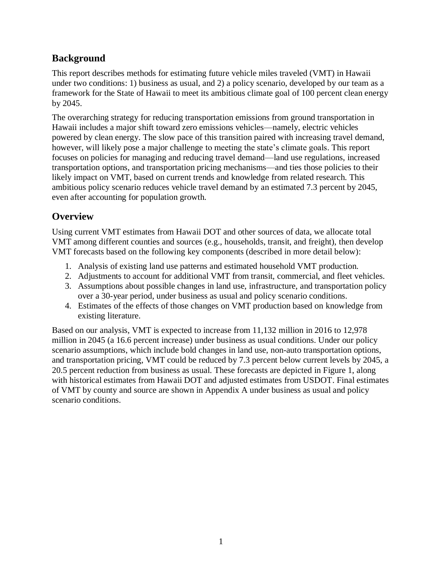# <span id="page-1-0"></span>**Background**

This report describes methods for estimating future vehicle miles traveled (VMT) in Hawaii under two conditions: 1) business as usual, and 2) a policy scenario, developed by our team as a framework for the State of Hawaii to meet its ambitious climate goal of 100 percent clean energy by 2045.

The overarching strategy for reducing transportation emissions from ground transportation in Hawaii includes a major shift toward zero emissions vehicles—namely, electric vehicles powered by clean energy. The slow pace of this transition paired with increasing travel demand, however, will likely pose a major challenge to meeting the state's climate goals. This report focuses on policies for managing and reducing travel demand—land use regulations, increased transportation options, and transportation pricing mechanisms—and ties those policies to their likely impact on VMT, based on current trends and knowledge from related research. This ambitious policy scenario reduces vehicle travel demand by an estimated 7.3 percent by 2045, even after accounting for population growth.

# <span id="page-1-1"></span>**Overview**

Using current VMT estimates from Hawaii DOT and other sources of data, we allocate total VMT among different counties and sources (e.g., households, transit, and freight), then develop VMT forecasts based on the following key components (described in more detail below):

- 1. Analysis of existing land use patterns and estimated household VMT production.
- 2. Adjustments to account for additional VMT from transit, commercial, and fleet vehicles.
- 3. Assumptions about possible changes in land use, infrastructure, and transportation policy over a 30-year period, under business as usual and policy scenario conditions.
- 4. Estimates of the effects of those changes on VMT production based on knowledge from existing literature.

Based on our analysis, VMT is expected to increase from 11,132 million in 2016 to 12,978 million in 2045 (a 16.6 percent increase) under business as usual conditions. Under our policy scenario assumptions, which include bold changes in land use, non-auto transportation options, and transportation pricing, VMT could be reduced by 7.3 percent below current levels by 2045, a 20.5 percent reduction from business as usual. These forecasts are depicted in Figure 1, along with historical estimates from Hawaii DOT and adjusted estimates from USDOT. Final estimates of VMT by county and source are shown in Appendix A under business as usual and policy scenario conditions.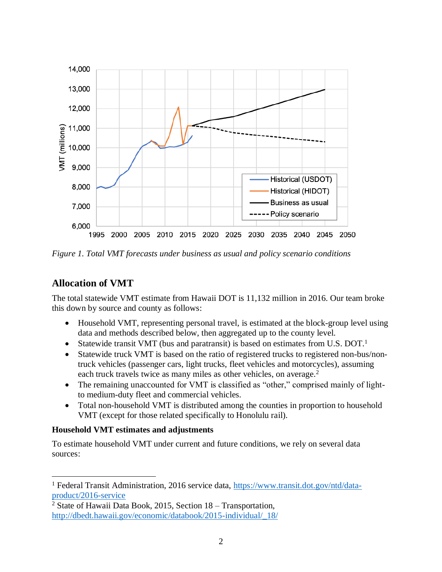

*Figure 1. Total VMT forecasts under business as usual and policy scenario conditions*

# <span id="page-2-0"></span>**Allocation of VMT**

 $\overline{a}$ 

The total statewide VMT estimate from Hawaii DOT is 11,132 million in 2016. Our team broke this down by source and county as follows:

- Household VMT, representing personal travel, is estimated at the block-group level using data and methods described below, then aggregated up to the county level.
- Statewide transit VMT (bus and paratransit) is based on estimates from U.S. DOT.<sup>1</sup>
- Statewide truck VMT is based on the ratio of registered trucks to registered non-bus/nontruck vehicles (passenger cars, light trucks, fleet vehicles and motorcycles), assuming each truck travels twice as many miles as other vehicles, on average.<sup>2</sup>
- The remaining unaccounted for VMT is classified as "other," comprised mainly of lightto medium-duty fleet and commercial vehicles.
- Total non-household VMT is distributed among the counties in proportion to household VMT (except for those related specifically to Honolulu rail).

#### <span id="page-2-1"></span>**Household VMT estimates and adjustments**

To estimate household VMT under current and future conditions, we rely on several data sources:

<sup>1</sup> Federal Transit Administration, 2016 service data, [https://www.transit.dot.gov/ntd/data](https://www.transit.dot.gov/ntd/data-product/2016-service)[product/2016-service](https://www.transit.dot.gov/ntd/data-product/2016-service)

 $2$  State of Hawaii Data Book, 2015, Section 18 – Transportation, [http://dbedt.hawaii.gov/economic/databook/2015-individual/\\_18/](http://dbedt.hawaii.gov/economic/databook/2015-individual/_18/)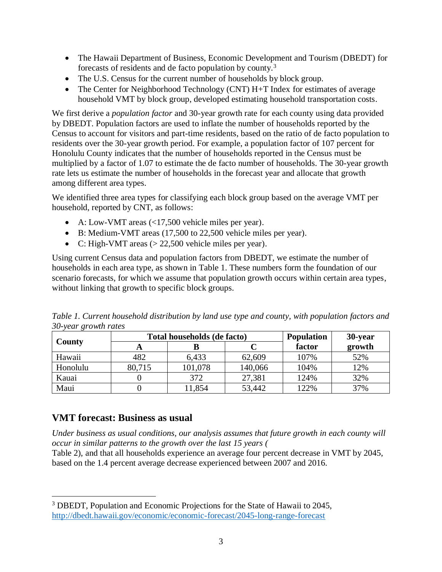- The Hawaii Department of Business, Economic Development and Tourism (DBEDT) for forecasts of residents and de facto population by county.<sup>3</sup>
- The U.S. Census for the current number of households by block group.
- The Center for Neighborhood Technology (CNT) H+T Index for estimates of average household VMT by block group, developed estimating household transportation costs.

We first derive a *population factor* and 30-year growth rate for each county using data provided by DBEDT. Population factors are used to inflate the number of households reported by the Census to account for visitors and part-time residents, based on the ratio of de facto population to residents over the 30-year growth period. For example, a population factor of 107 percent for Honolulu County indicates that the number of households reported in the Census must be multiplied by a factor of 1.07 to estimate the de facto number of households. The 30-year growth rate lets us estimate the number of households in the forecast year and allocate that growth among different area types.

We identified three area types for classifying each block group based on the average VMT per household, reported by CNT, as follows:

- A: Low-VMT areas (<17,500 vehicle miles per year).
- B: Medium-VMT areas (17,500 to 22,500 vehicle miles per year).
- C: High-VMT areas  $(> 22,500)$  vehicle miles per year).

Using current Census data and population factors from DBEDT, we estimate the number of households in each area type, as shown in Table 1. These numbers form the foundation of our scenario forecasts, for which we assume that population growth occurs within certain area types, without linking that growth to specific block groups.

|          |        | Total households (de facto) | <b>Population</b> | 30-year |        |  |
|----------|--------|-----------------------------|-------------------|---------|--------|--|
| County   | o      |                             |                   | factor  | growth |  |
| Hawaii   | 482    | 6,433                       | 62,609            | 107%    | 52%    |  |
| Honolulu | 80,715 | 101,078                     | 140,066           | 104%    | 12%    |  |
| Kauai    |        | 372                         | 27,381            | 124%    | 32%    |  |
| Maui     |        | 11,854                      | 53,442            | 122%    | 37%    |  |

*Table 1. Current household distribution by land use type and county, with population factors and 30-year growth rates*

# <span id="page-3-0"></span>**VMT forecast: Business as usual**

 $\overline{a}$ 

*Under business as usual conditions, our analysis assumes that future growth in each county will occur in similar patterns to the growth over the last 15 years (*

Table 2), and that all households experience an average four percent decrease in VMT by 2045, based on the 1.4 percent average decrease experienced between 2007 and 2016.

<sup>3</sup> DBEDT, Population and Economic Projections for the State of Hawaii to 2045, <http://dbedt.hawaii.gov/economic/economic-forecast/2045-long-range-forecast>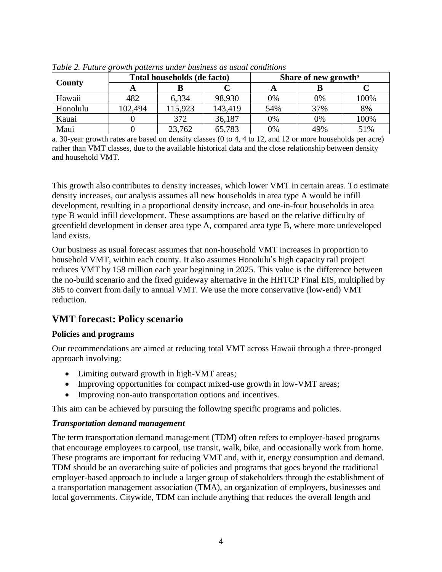|          |         | Total households (de facto) |         | Share of new growth <sup><math>a</math></sup> |     |      |  |  |
|----------|---------|-----------------------------|---------|-----------------------------------------------|-----|------|--|--|
| County   |         |                             |         |                                               |     |      |  |  |
| Hawaii   | 482     | 6,334                       | 98,930  | 0%                                            | 0%  | 100% |  |  |
| Honolulu | 102,494 | 115,923                     | 143,419 | 54%                                           | 37% | 8%   |  |  |
| Kauai    |         | 372                         | 36,187  | 0%                                            | 0%  | 100% |  |  |
| Maui     |         | 23,762                      | 65,783  | 0%                                            | 49% | 51%  |  |  |

*Table 2. Future growth patterns under business as usual conditions*

a. 30-year growth rates are based on density classes (0 to 4, 4 to 12, and 12 or more households per acre) rather than VMT classes, due to the available historical data and the close relationship between density and household VMT.

This growth also contributes to density increases, which lower VMT in certain areas. To estimate density increases, our analysis assumes all new households in area type A would be infill development, resulting in a proportional density increase, and one-in-four households in area type B would infill development. These assumptions are based on the relative difficulty of greenfield development in denser area type A, compared area type B, where more undeveloped land exists.

Our business as usual forecast assumes that non-household VMT increases in proportion to household VMT, within each county. It also assumes Honolulu's high capacity rail project reduces VMT by 158 million each year beginning in 2025. This value is the difference between the no-build scenario and the fixed guideway alternative in the HHTCP Final EIS, multiplied by 365 to convert from daily to annual VMT. We use the more conservative (low-end) VMT reduction.

# <span id="page-4-0"></span>**VMT forecast: Policy scenario**

## <span id="page-4-1"></span>**Policies and programs**

Our recommendations are aimed at reducing total VMT across Hawaii through a three-pronged approach involving:

- Limiting outward growth in high-VMT areas;
- Improving opportunities for compact mixed-use growth in low-VMT areas;
- Improving non-auto transportation options and incentives.

This aim can be achieved by pursuing the following specific programs and policies.

## *Transportation demand management*

The term transportation demand management (TDM) often refers to employer-based programs that encourage employees to carpool, use transit, walk, bike, and occasionally work from home. These programs are important for reducing VMT and, with it, energy consumption and demand. TDM should be an overarching suite of policies and programs that goes beyond the traditional employer-based approach to include a larger group of stakeholders through the establishment of a transportation management association (TMA), an organization of employers, businesses and local governments. Citywide, TDM can include anything that reduces the overall length and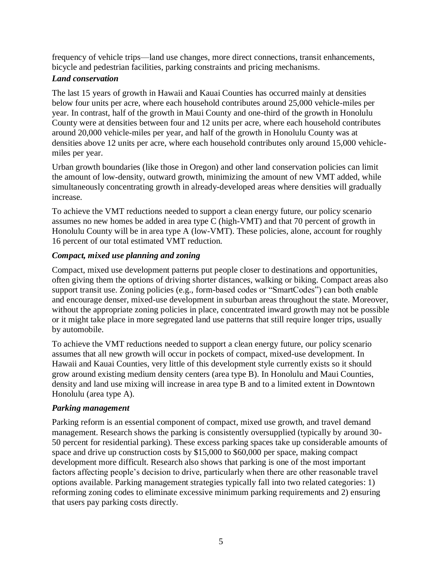frequency of vehicle trips—land use changes, more direct connections, transit enhancements, bicycle and pedestrian facilities, parking constraints and pricing mechanisms.

## *Land conservation*

The last 15 years of growth in Hawaii and Kauai Counties has occurred mainly at densities below four units per acre, where each household contributes around 25,000 vehicle-miles per year. In contrast, half of the growth in Maui County and one-third of the growth in Honolulu County were at densities between four and 12 units per acre, where each household contributes around 20,000 vehicle-miles per year, and half of the growth in Honolulu County was at densities above 12 units per acre, where each household contributes only around 15,000 vehiclemiles per year.

Urban growth boundaries (like those in Oregon) and other land conservation policies can limit the amount of low-density, outward growth, minimizing the amount of new VMT added, while simultaneously concentrating growth in already-developed areas where densities will gradually increase.

To achieve the VMT reductions needed to support a clean energy future, our policy scenario assumes no new homes be added in area type C (high-VMT) and that 70 percent of growth in Honolulu County will be in area type A (low-VMT). These policies, alone, account for roughly 16 percent of our total estimated VMT reduction.

## *Compact, mixed use planning and zoning*

Compact, mixed use development patterns put people closer to destinations and opportunities, often giving them the options of driving shorter distances, walking or biking. Compact areas also support transit use. Zoning policies (e.g., form-based codes or "SmartCodes") can both enable and encourage denser, mixed-use development in suburban areas throughout the state. Moreover, without the appropriate zoning policies in place, concentrated inward growth may not be possible or it might take place in more segregated land use patterns that still require longer trips, usually by automobile.

To achieve the VMT reductions needed to support a clean energy future, our policy scenario assumes that all new growth will occur in pockets of compact, mixed-use development. In Hawaii and Kauai Counties, very little of this development style currently exists so it should grow around existing medium density centers (area type B). In Honolulu and Maui Counties, density and land use mixing will increase in area type B and to a limited extent in Downtown Honolulu (area type A).

# *Parking management*

Parking reform is an essential component of compact, mixed use growth, and travel demand management. Research shows the parking is consistently oversupplied (typically by around 30- 50 percent for residential parking). These excess parking spaces take up considerable amounts of space and drive up construction costs by \$15,000 to \$60,000 per space, making compact development more difficult. Research also shows that parking is one of the most important factors affecting people's decision to drive, particularly when there are other reasonable travel options available. Parking management strategies typically fall into two related categories: 1) reforming zoning codes to eliminate excessive minimum parking requirements and 2) ensuring that users pay parking costs directly.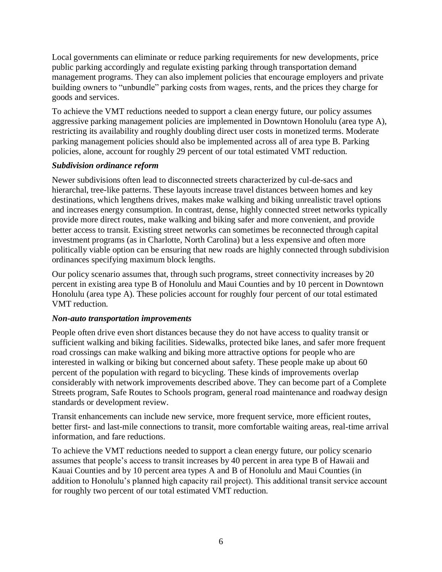Local governments can eliminate or reduce parking requirements for new developments, price public parking accordingly and regulate existing parking through transportation demand management programs. They can also implement policies that encourage employers and private building owners to "unbundle" parking costs from wages, rents, and the prices they charge for goods and services.

To achieve the VMT reductions needed to support a clean energy future, our policy assumes aggressive parking management policies are implemented in Downtown Honolulu (area type A), restricting its availability and roughly doubling direct user costs in monetized terms. Moderate parking management policies should also be implemented across all of area type B. Parking policies, alone, account for roughly 29 percent of our total estimated VMT reduction.

#### *Subdivision ordinance reform*

Newer subdivisions often lead to disconnected streets characterized by cul-de-sacs and hierarchal, tree-like patterns. These layouts increase travel distances between homes and key destinations, which lengthens drives, makes make walking and biking unrealistic travel options and increases energy consumption. In contrast, dense, highly connected street networks typically provide more direct routes, make walking and biking safer and more convenient, and provide better access to transit. Existing street networks can sometimes be reconnected through capital investment programs (as in Charlotte, North Carolina) but a less expensive and often more politically viable option can be ensuring that new roads are highly connected through subdivision ordinances specifying maximum block lengths.

Our policy scenario assumes that, through such programs, street connectivity increases by 20 percent in existing area type B of Honolulu and Maui Counties and by 10 percent in Downtown Honolulu (area type A). These policies account for roughly four percent of our total estimated VMT reduction.

## *Non-auto transportation improvements*

People often drive even short distances because they do not have access to quality transit or sufficient walking and biking facilities. Sidewalks, protected bike lanes, and safer more frequent road crossings can make walking and biking more attractive options for people who are interested in walking or biking but concerned about safety. These people make up about 60 percent of the population with regard to bicycling. These kinds of improvements overlap considerably with network improvements described above. They can become part of a Complete Streets program, Safe Routes to Schools program, general road maintenance and roadway design standards or development review.

Transit enhancements can include new service, more frequent service, more efficient routes, better first- and last-mile connections to transit, more comfortable waiting areas, real-time arrival information, and fare reductions.

To achieve the VMT reductions needed to support a clean energy future, our policy scenario assumes that people's access to transit increases by 40 percent in area type B of Hawaii and Kauai Counties and by 10 percent area types A and B of Honolulu and Maui Counties (in addition to Honolulu's planned high capacity rail project). This additional transit service account for roughly two percent of our total estimated VMT reduction.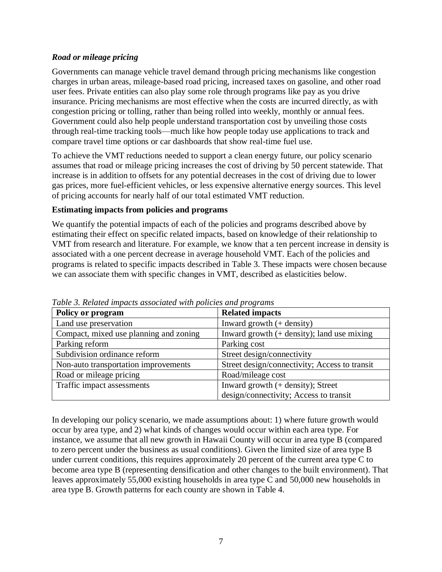#### *Road or mileage pricing*

Governments can manage vehicle travel demand through pricing mechanisms like congestion charges in urban areas, mileage-based road pricing, increased taxes on gasoline, and other road user fees. Private entities can also play some role through programs like pay as you drive insurance. Pricing mechanisms are most effective when the costs are incurred directly, as with congestion pricing or tolling, rather than being rolled into weekly, monthly or annual fees. Government could also help people understand transportation cost by unveiling those costs through real-time tracking tools—much like how people today use applications to track and compare travel time options or car dashboards that show real-time fuel use.

To achieve the VMT reductions needed to support a clean energy future, our policy scenario assumes that road or mileage pricing increases the cost of driving by 50 percent statewide. That increase is in addition to offsets for any potential decreases in the cost of driving due to lower gas prices, more fuel-efficient vehicles, or less expensive alternative energy sources. This level of pricing accounts for nearly half of our total estimated VMT reduction.

#### <span id="page-7-0"></span>**Estimating impacts from policies and programs**

We quantify the potential impacts of each of the policies and programs described above by estimating their effect on specific related impacts, based on knowledge of their relationship to VMT from research and literature. For example, we know that a ten percent increase in density is associated with a one percent decrease in average household VMT. Each of the policies and programs is related to specific impacts described in Table 3. These impacts were chosen because we can associate them with specific changes in VMT, described as elasticities below.

| Policy or program                      | <b>Related impacts</b>                        |
|----------------------------------------|-----------------------------------------------|
| Land use preservation                  | Inward growth $(+$ density)                   |
| Compact, mixed use planning and zoning | Inward growth $(+)$ density); land use mixing |
| Parking reform                         | Parking cost                                  |
| Subdivision ordinance reform           | Street design/connectivity                    |
| Non-auto transportation improvements   | Street design/connectivity; Access to transit |
| Road or mileage pricing                | Road/mileage cost                             |
| Traffic impact assessments             | Inward growth $(+)$ density); Street          |
|                                        | design/connectivity; Access to transit        |

*Table 3. Related impacts associated with policies and programs*

In developing our policy scenario, we made assumptions about: 1) where future growth would occur by area type, and 2) what kinds of changes would occur within each area type. For instance, we assume that all new growth in Hawaii County will occur in area type B (compared to zero percent under the business as usual conditions). Given the limited size of area type B under current conditions, this requires approximately 20 percent of the current area type C to become area type B (representing densification and other changes to the built environment). That leaves approximately 55,000 existing households in area type C and 50,000 new households in area type B. Growth patterns for each county are shown in Table 4.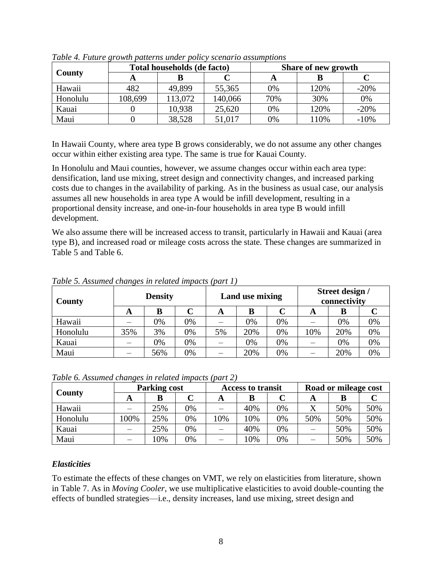|               |         | Total households (de facto) |         | Share of new growth |      |        |  |
|---------------|---------|-----------------------------|---------|---------------------|------|--------|--|
| <b>County</b> |         |                             |         |                     |      |        |  |
| Hawaii        | 482     | 49,899                      | 55,365  | 0%                  | 120% | $-20%$ |  |
| Honolulu      | 108,699 | 113,072                     | 140,066 | 70%                 | 30%  | 0%     |  |
| Kauai         |         | 10.938                      | 25,620  | 0%                  | 120% | $-20%$ |  |
| Maui          |         | 38,528                      | 51,017  | 0%                  | 10%  | $-10%$ |  |

*Table 4. Future growth patterns under policy scenario assumptions*

In Hawaii County, where area type B grows considerably, we do not assume any other changes occur within either existing area type. The same is true for Kauai County.

In Honolulu and Maui counties, however, we assume changes occur within each area type: densification, land use mixing, street design and connectivity changes, and increased parking costs due to changes in the availability of parking. As in the business as usual case, our analysis assumes all new households in area type A would be infill development, resulting in a proportional density increase, and one-in-four households in area type B would infill development.

We also assume there will be increased access to transit, particularly in Hawaii and Kauai (area type B), and increased road or mileage costs across the state. These changes are summarized in Table 5 and Table 6.

| <b>County</b> | <b>Density</b> |     |    |    | Land use mixing |    | Street design /<br>connectivity |     |    |
|---------------|----------------|-----|----|----|-----------------|----|---------------------------------|-----|----|
|               | A              | В   |    | A  | В               |    | A                               | В   |    |
| Hawaii        |                | 0%  | 0% |    | 0%              | 0% |                                 | 0%  | 0% |
| Honolulu      | 35%            | 3%  | 0% | 5% | 20%             | 0% | 10%                             | 20% | 0% |
| Kauai         |                | 0%  | 0% |    | 0%              | 0% |                                 | 0%  | 0% |
| Maui          |                | 56% | 0% |    | 20%             | 0% |                                 | 20% | 0% |

*Table 5. Assumed changes in related impacts (part 1)*

*Table 6. Assumed changes in related impacts (part 2)*

|          | <b>Parking cost</b> |     |    | <b>Access to transit</b>       |     |    | Road or mileage cost |     |     |
|----------|---------------------|-----|----|--------------------------------|-----|----|----------------------|-----|-----|
| County   | ГY.                 |     |    | A                              | B   |    | A                    |     |     |
| Hawaii   |                     | 25% | 0% |                                | 40% | 0% | $\rm X$              | 50% | 50% |
| Honolulu | 00%                 | 25% | 0% | .0%                            | 10% | 0% | 50%                  | 50% | 50% |
| Kauai    |                     | 25% | 0% | $\qquad \qquad \longleftarrow$ | 40% | 0% |                      | 50% | 50% |
| Maui     |                     | 0%  | 0% |                                | 10% | 0% |                      | 50% | 50% |

# *Elasticities*

To estimate the effects of these changes on VMT, we rely on elasticities from literature, shown in Table 7. As in *Moving Cooler*, we use multiplicative elasticities to avoid double-counting the effects of bundled strategies—i.e., density increases, land use mixing, street design and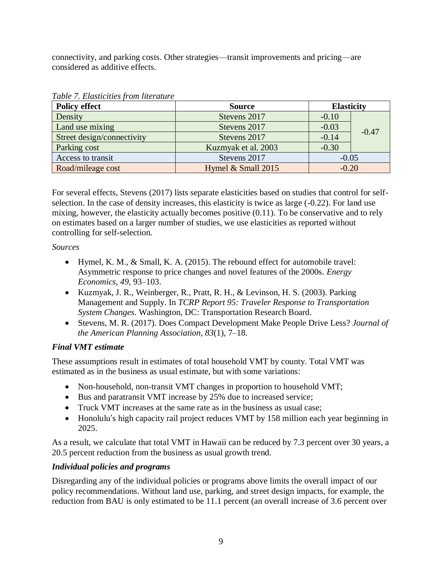connectivity, and parking costs. Other strategies—transit improvements and pricing—are considered as additive effects.

| <b>Policy effect</b>       | <b>Source</b>       | <b>Elasticity</b> |         |  |
|----------------------------|---------------------|-------------------|---------|--|
| Density                    | Stevens 2017        | $-0.10$           |         |  |
| Land use mixing            | Stevens 2017        | $-0.03$           | $-0.47$ |  |
| Street design/connectivity | Stevens 2017        | $-0.14$           |         |  |
| Parking cost               | Kuzmyak et al. 2003 | $-0.30$           |         |  |
| Access to transit          | Stevens 2017        | $-0.05$           |         |  |
| Road/mileage cost          | Hymel & Small 2015  | $-0.20$           |         |  |

*Table 7. Elasticities from literature*

For several effects, Stevens (2017) lists separate elasticities based on studies that control for selfselection. In the case of density increases, this elasticity is twice as large (-0.22). For land use mixing, however, the elasticity actually becomes positive (0.11). To be conservative and to rely on estimates based on a larger number of studies, we use elasticities as reported without controlling for self-selection.

## *Sources*

- Hymel, K. M., & Small, K. A. (2015). The rebound effect for automobile travel: Asymmetric response to price changes and novel features of the 2000s. *Energy Economics*, *49*, 93–103.
- Kuzmyak, J. R., Weinberger, R., Pratt, R. H., & Levinson, H. S. (2003). Parking Management and Supply. In *TCRP Report 95: Traveler Response to Transportation System Changes*. Washington, DC: Transportation Research Board.
- Stevens, M. R. (2017). Does Compact Development Make People Drive Less? *Journal of the American Planning Association*, *83*(1), 7–18.

## *Final VMT estimate*

These assumptions result in estimates of total household VMT by county. Total VMT was estimated as in the business as usual estimate, but with some variations:

- Non-household, non-transit VMT changes in proportion to household VMT;
- Bus and paratransit VMT increase by 25% due to increased service;
- Truck VMT increases at the same rate as in the business as usual case;
- Honolulu's high capacity rail project reduces VMT by 158 million each year beginning in 2025.

As a result, we calculate that total VMT in Hawaii can be reduced by 7.3 percent over 30 years, a 20.5 percent reduction from the business as usual growth trend.

# *Individual policies and programs*

Disregarding any of the individual policies or programs above limits the overall impact of our policy recommendations. Without land use, parking, and street design impacts, for example, the reduction from BAU is only estimated to be 11.1 percent (an overall increase of 3.6 percent over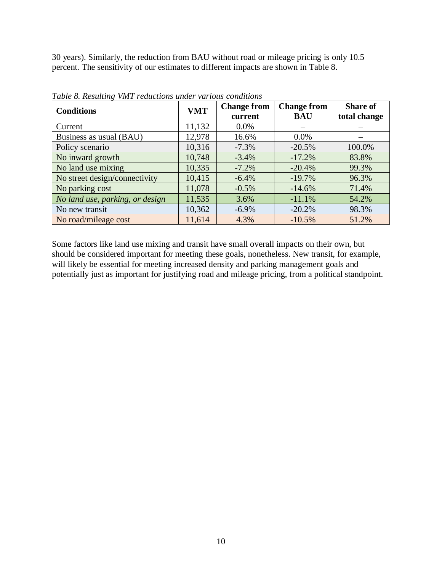30 years). Similarly, the reduction from BAU without road or mileage pricing is only 10.5 percent. The sensitivity of our estimates to different impacts are shown in Table 8.

| <b>Conditions</b>               | <b>VMT</b> | <b>Change from</b><br>current | <b>Change from</b><br><b>BAU</b> | <b>Share of</b><br>total change |
|---------------------------------|------------|-------------------------------|----------------------------------|---------------------------------|
| Current                         | 11,132     | $0.0\%$                       |                                  |                                 |
| Business as usual (BAU)         | 12,978     | 16.6%                         | 0.0%                             |                                 |
| Policy scenario                 | 10,316     | $-7.3%$                       | $-20.5%$                         | 100.0%                          |
| No inward growth                | 10,748     | $-3.4%$                       | $-17.2%$                         | 83.8%                           |
| No land use mixing              | 10,335     | $-7.2%$                       | $-20.4%$                         | 99.3%                           |
| No street design/connectivity   | 10,415     | $-6.4%$                       | $-19.7%$                         | 96.3%                           |
| No parking cost                 | 11,078     | $-0.5\%$                      | $-14.6%$                         | 71.4%                           |
| No land use, parking, or design | 11,535     | 3.6%                          | $-11.1%$                         | 54.2%                           |
| No new transit                  | 10,362     | $-6.9\%$                      | $-20.2%$                         | 98.3%                           |
| No road/mileage cost            | 11,614     | 4.3%                          | $-10.5%$                         | 51.2%                           |

*Table 8. Resulting VMT reductions under various conditions*

Some factors like land use mixing and transit have small overall impacts on their own, but should be considered important for meeting these goals, nonetheless. New transit, for example, will likely be essential for meeting increased density and parking management goals and potentially just as important for justifying road and mileage pricing, from a political standpoint.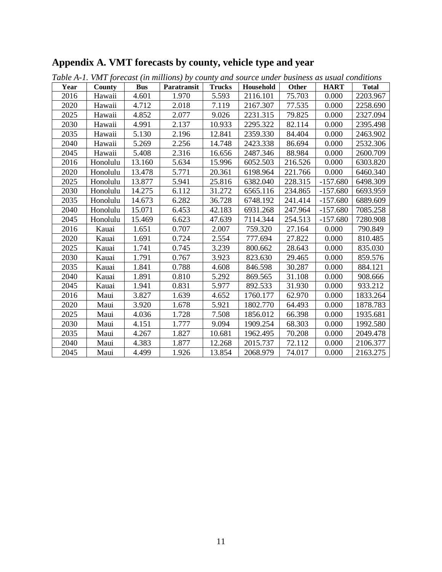| Table A-1. VMT forecast (in millions) by county and source under business as usual conditions |          |            |             |               |           |              |             |              |  |  |
|-----------------------------------------------------------------------------------------------|----------|------------|-------------|---------------|-----------|--------------|-------------|--------------|--|--|
| Year                                                                                          | County   | <b>Bus</b> | Paratransit | <b>Trucks</b> | Household | <b>Other</b> | <b>HART</b> | <b>Total</b> |  |  |
| 2016                                                                                          | Hawaii   | 4.601      | 1.970       | 5.593         | 2116.101  | 75.703       | 0.000       | 2203.967     |  |  |
| 2020                                                                                          | Hawaii   | 4.712      | 2.018       | 7.119         | 2167.307  | 77.535       | 0.000       | 2258.690     |  |  |
| 2025                                                                                          | Hawaii   | 4.852      | 2.077       | 9.026         | 2231.315  | 79.825       | 0.000       | 2327.094     |  |  |
| 2030                                                                                          | Hawaii   | 4.991      | 2.137       | 10.933        | 2295.322  | 82.114       | 0.000       | 2395.498     |  |  |
| 2035                                                                                          | Hawaii   | 5.130      | 2.196       | 12.841        | 2359.330  | 84.404       | 0.000       | 2463.902     |  |  |
| 2040                                                                                          | Hawaii   | 5.269      | 2.256       | 14.748        | 2423.338  | 86.694       | 0.000       | 2532.306     |  |  |
| 2045                                                                                          | Hawaii   | 5.408      | 2.316       | 16.656        | 2487.346  | 88.984       | 0.000       | 2600.709     |  |  |
| 2016                                                                                          | Honolulu | 13.160     | 5.634       | 15.996        | 6052.503  | 216.526      | 0.000       | 6303.820     |  |  |
| 2020                                                                                          | Honolulu | 13.478     | 5.771       | 20.361        | 6198.964  | 221.766      | 0.000       | 6460.340     |  |  |
| 2025                                                                                          | Honolulu | 13.877     | 5.941       | 25.816        | 6382.040  | 228.315      | $-157.680$  | 6498.309     |  |  |
| 2030                                                                                          | Honolulu | 14.275     | 6.112       | 31.272        | 6565.116  | 234.865      | $-157.680$  | 6693.959     |  |  |
| 2035                                                                                          | Honolulu | 14.673     | 6.282       | 36.728        | 6748.192  | 241.414      | $-157.680$  | 6889.609     |  |  |
| 2040                                                                                          | Honolulu | 15.071     | 6.453       | 42.183        | 6931.268  | 247.964      | $-157.680$  | 7085.258     |  |  |
| 2045                                                                                          | Honolulu | 15.469     | 6.623       | 47.639        | 7114.344  | 254.513      | $-157.680$  | 7280.908     |  |  |
| 2016                                                                                          | Kauai    | 1.651      | 0.707       | 2.007         | 759.320   | 27.164       | 0.000       | 790.849      |  |  |
| 2020                                                                                          | Kauai    | 1.691      | 0.724       | 2.554         | 777.694   | 27.822       | 0.000       | 810.485      |  |  |
| 2025                                                                                          | Kauai    | 1.741      | 0.745       | 3.239         | 800.662   | 28.643       | 0.000       | 835.030      |  |  |
| 2030                                                                                          | Kauai    | 1.791      | 0.767       | 3.923         | 823.630   | 29.465       | 0.000       | 859.576      |  |  |
| 2035                                                                                          | Kauai    | 1.841      | 0.788       | 4.608         | 846.598   | 30.287       | 0.000       | 884.121      |  |  |
| 2040                                                                                          | Kauai    | 1.891      | 0.810       | 5.292         | 869.565   | 31.108       | 0.000       | 908.666      |  |  |
| 2045                                                                                          | Kauai    | 1.941      | 0.831       | 5.977         | 892.533   | 31.930       | 0.000       | 933.212      |  |  |
| 2016                                                                                          | Maui     | 3.827      | 1.639       | 4.652         | 1760.177  | 62.970       | 0.000       | 1833.264     |  |  |
| 2020                                                                                          | Maui     | 3.920      | 1.678       | 5.921         | 1802.770  | 64.493       | 0.000       | 1878.783     |  |  |
| 2025                                                                                          | Maui     | 4.036      | 1.728       | 7.508         | 1856.012  | 66.398       | 0.000       | 1935.681     |  |  |
| 2030                                                                                          | Maui     | 4.151      | 1.777       | 9.094         | 1909.254  | 68.303       | 0.000       | 1992.580     |  |  |
| 2035                                                                                          | Maui     | 4.267      | 1.827       | 10.681        | 1962.495  | 70.208       | 0.000       | 2049.478     |  |  |
| 2040                                                                                          | Maui     | 4.383      | 1.877       | 12.268        | 2015.737  | 72.112       | 0.000       | 2106.377     |  |  |
| 2045                                                                                          | Maui     | 4.499      | 1.926       | 13.854        | 2068.979  | 74.017       | 0.000       | 2163.275     |  |  |

<span id="page-11-0"></span>**Appendix A. VMT forecasts by county, vehicle type and year**